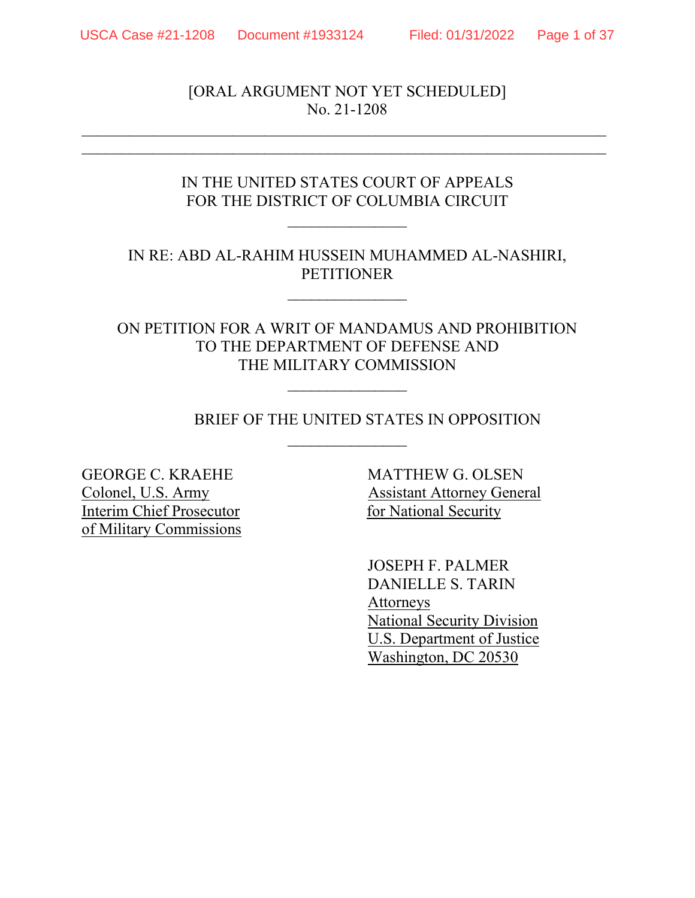[ORAL ARGUMENT NOT YET SCHEDULED] No. 21-1208

 $\mathcal{L}_\text{max}$  , and the contribution of the contribution of the contribution of the contribution of the contribution of the contribution of the contribution of the contribution of the contribution of the contribution of t  $\overline{a}$  , and the contribution of the contribution of the contribution of the contribution of the contribution of the contribution of the contribution of the contribution of the contribution of the contribution of the co

# IN THE UNITED STATES COURT OF APPEALS FOR THE DISTRICT OF COLUMBIA CIRCUIT

 $\mathcal{L}_\text{max}$  , where  $\mathcal{L}_\text{max}$ 

IN RE: ABD AL-RAHIM HUSSEIN MUHAMMED AL-NASHIRI, PETITIONER

 $\mathcal{L}_\text{max}$  , where  $\mathcal{L}_\text{max}$ 

## ON PETITION FOR A WRIT OF MANDAMUS AND PROHIBITION TO THE DEPARTMENT OF DEFENSE AND THE MILITARY COMMISSION

 $\mathcal{L}_\text{max}$  , where  $\mathcal{L}_\text{max}$ 

 $\overline{\phantom{a}}$ 

## BRIEF OF THE UNITED STATES IN OPPOSITION

GEORGE C. KRAEHE MATTHEW G. OLSEN Interim Chief Prosecutor for National Security of Military Commissions

Colonel, U.S. Army Assistant Attorney General

JOSEPH F. PALMER DANIELLE S. TARIN Attorneys National Security Division U.S. Department of Justice Washington, DC 20530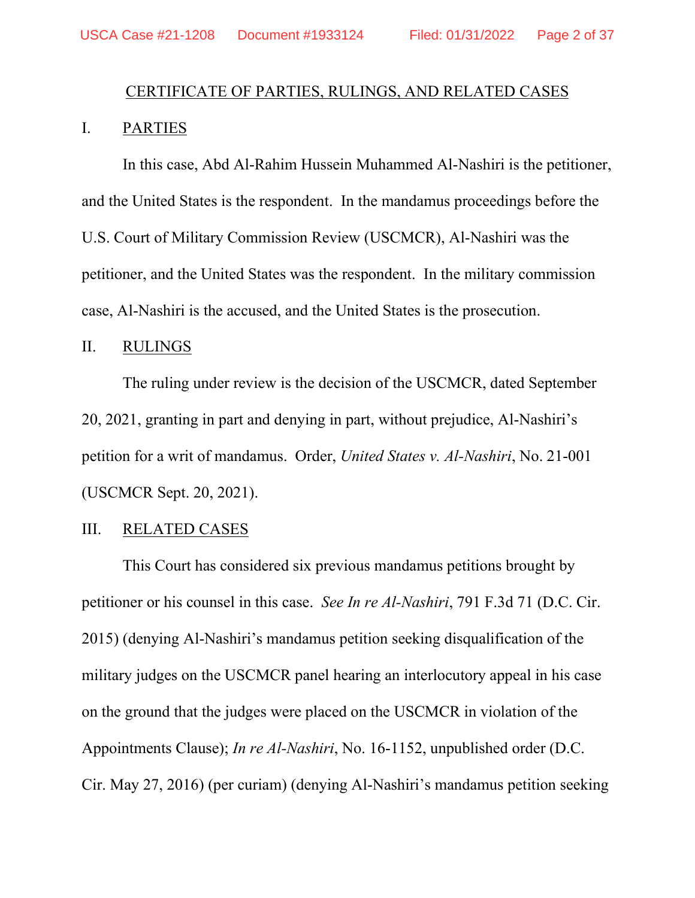# CERTIFICATE OF PARTIES, RULINGS, AND RELATED CASES

## I. PARTIES

In this case, Abd Al-Rahim Hussein Muhammed Al-Nashiri is the petitioner, and the United States is the respondent. In the mandamus proceedings before the U.S. Court of Military Commission Review (USCMCR), Al-Nashiri was the petitioner, and the United States was the respondent. In the military commission case, Al-Nashiri is the accused, and the United States is the prosecution.

#### II. RULINGS

The ruling under review is the decision of the USCMCR, dated September 20, 2021, granting in part and denying in part, without prejudice, Al-Nashiri's petition for a writ of mandamus. Order, *United States v. Al-Nashiri*, No. 21-001 (USCMCR Sept. 20, 2021).

### III. RELATED CASES

This Court has considered six previous mandamus petitions brought by petitioner or his counsel in this case. *See In re Al-Nashiri*, 791 F.3d 71 (D.C. Cir. 2015) (denying Al-Nashiri's mandamus petition seeking disqualification of the military judges on the USCMCR panel hearing an interlocutory appeal in his case on the ground that the judges were placed on the USCMCR in violation of the Appointments Clause); *In re Al-Nashiri*, No. 16-1152, unpublished order (D.C. Cir. May 27, 2016) (per curiam) (denying Al-Nashiri's mandamus petition seeking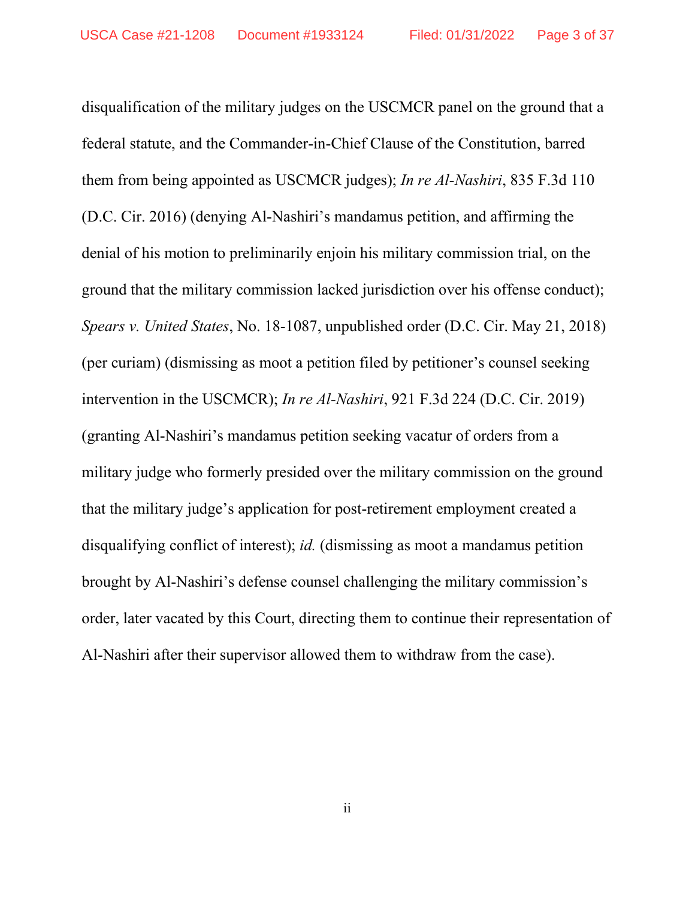disqualification of the military judges on the USCMCR panel on the ground that a federal statute, and the Commander-in-Chief Clause of the Constitution, barred them from being appointed as USCMCR judges); *In re Al-Nashiri*, 835 F.3d 110 (D.C. Cir. 2016) (denying Al-Nashiri's mandamus petition, and affirming the denial of his motion to preliminarily enjoin his military commission trial, on the ground that the military commission lacked jurisdiction over his offense conduct); *Spears v. United States*, No. 18-1087, unpublished order (D.C. Cir. May 21, 2018) (per curiam) (dismissing as moot a petition filed by petitioner's counsel seeking intervention in the USCMCR); *In re Al-Nashiri*, 921 F.3d 224 (D.C. Cir. 2019) (granting Al-Nashiri's mandamus petition seeking vacatur of orders from a military judge who formerly presided over the military commission on the ground that the military judge's application for post-retirement employment created a disqualifying conflict of interest); *id.* (dismissing as moot a mandamus petition brought by Al-Nashiri's defense counsel challenging the military commission's order, later vacated by this Court, directing them to continue their representation of Al-Nashiri after their supervisor allowed them to withdraw from the case).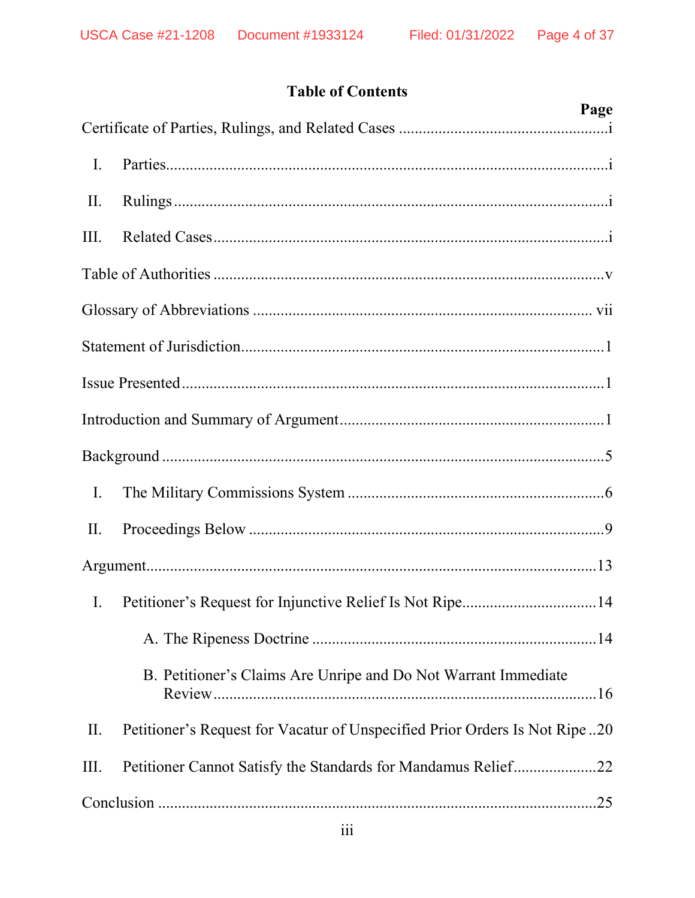# **Table of Contents**

| Page                                                                              |
|-----------------------------------------------------------------------------------|
|                                                                                   |
| I.                                                                                |
| II.                                                                               |
| III.                                                                              |
|                                                                                   |
|                                                                                   |
|                                                                                   |
|                                                                                   |
|                                                                                   |
|                                                                                   |
| I.                                                                                |
| II.                                                                               |
|                                                                                   |
| Petitioner's Request for Injunctive Relief Is Not Ripe14<br>$\mathbf{I}$ .        |
|                                                                                   |
| B. Petitioner's Claims Are Unripe and Do Not Warrant Immediate                    |
| Petitioner's Request for Vacatur of Unspecified Prior Orders Is Not Ripe20<br>II. |
| Petitioner Cannot Satisfy the Standards for Mandamus Relief22<br>III.             |
|                                                                                   |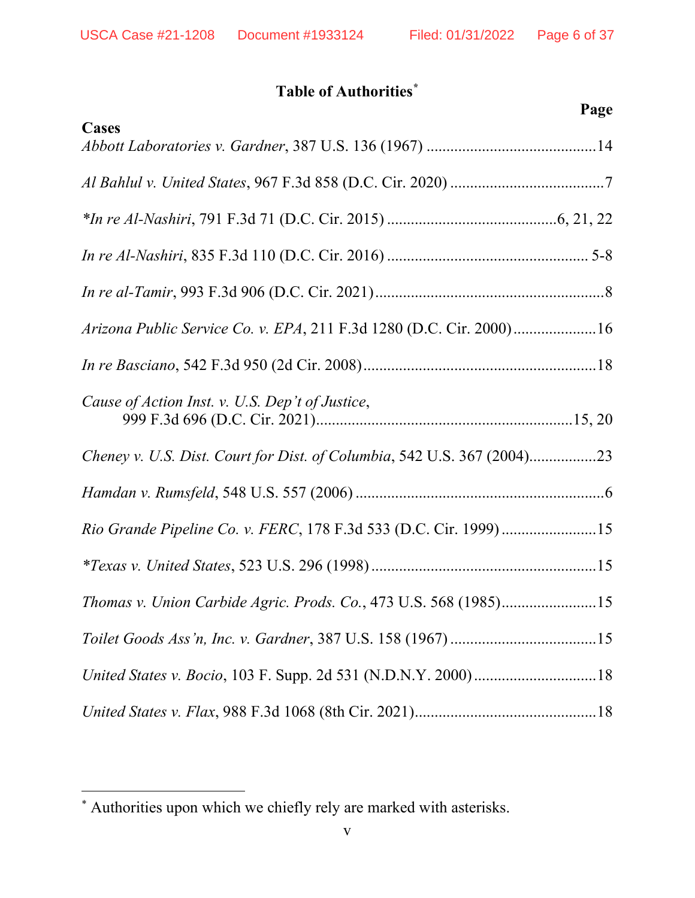# **Table of Authorities\***

| Page                                                                    |
|-------------------------------------------------------------------------|
| Cases                                                                   |
|                                                                         |
|                                                                         |
|                                                                         |
|                                                                         |
| Arizona Public Service Co. v. EPA, 211 F.3d 1280 (D.C. Cir. 2000)16     |
|                                                                         |
| Cause of Action Inst. v. U.S. Dep't of Justice,                         |
| Cheney v. U.S. Dist. Court for Dist. of Columbia, 542 U.S. 367 (2004)23 |
|                                                                         |
| Rio Grande Pipeline Co. v. FERC, 178 F.3d 533 (D.C. Cir. 1999)15        |
|                                                                         |
| Thomas v. Union Carbide Agric. Prods. Co., 473 U.S. 568 (1985)15        |
|                                                                         |
|                                                                         |
|                                                                         |

<sup>\*</sup> Authorities upon which we chiefly rely are marked with asterisks.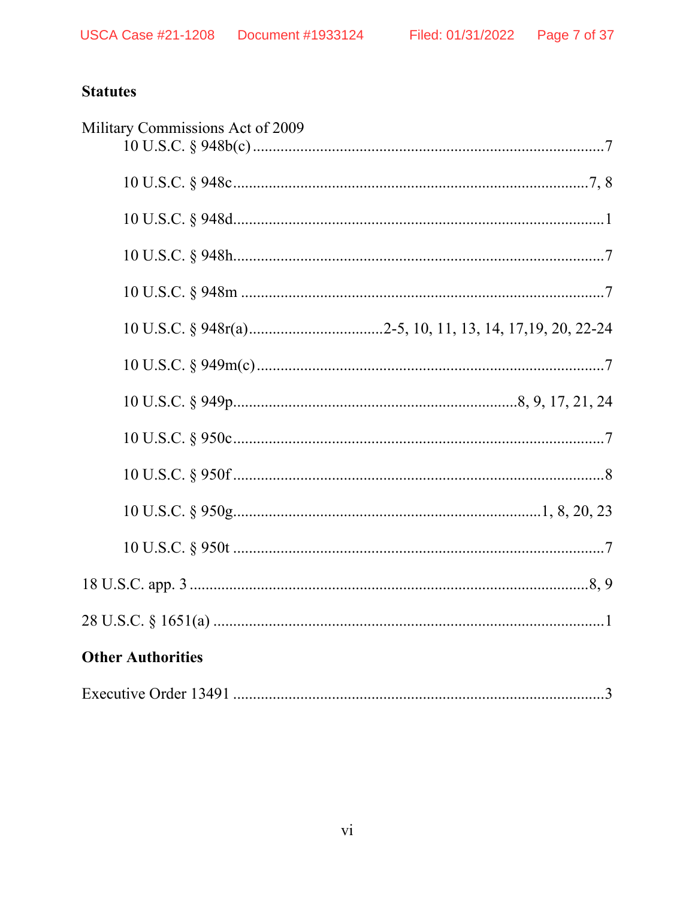# **Statutes**

| Military Commissions Act of 2009 |
|----------------------------------|
|                                  |
|                                  |
|                                  |
|                                  |
|                                  |
|                                  |
|                                  |
|                                  |
|                                  |
|                                  |
|                                  |
|                                  |
|                                  |
| <b>Other Authorities</b>         |
|                                  |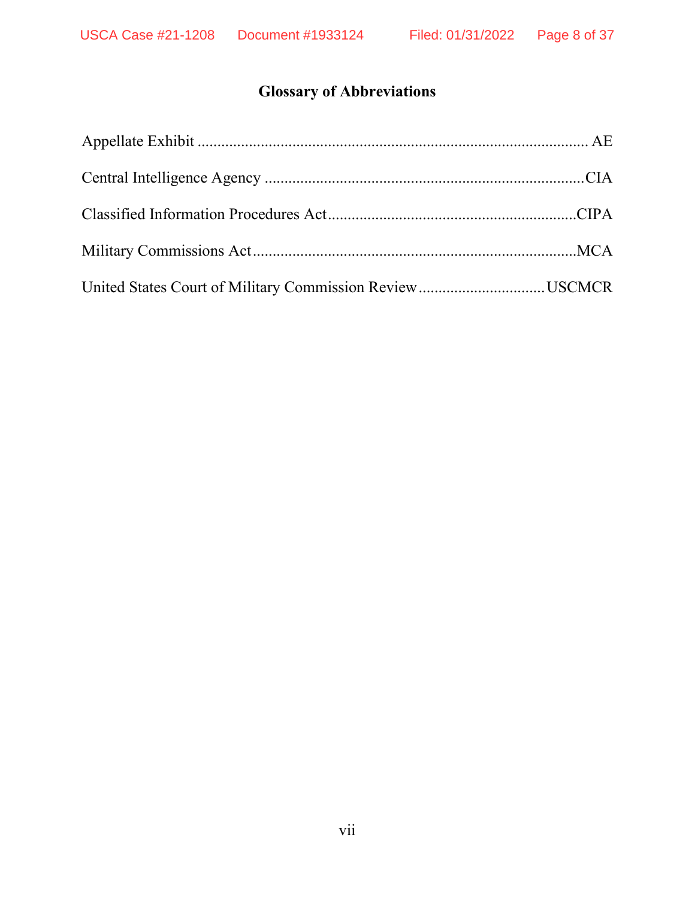# **Glossary of Abbreviations**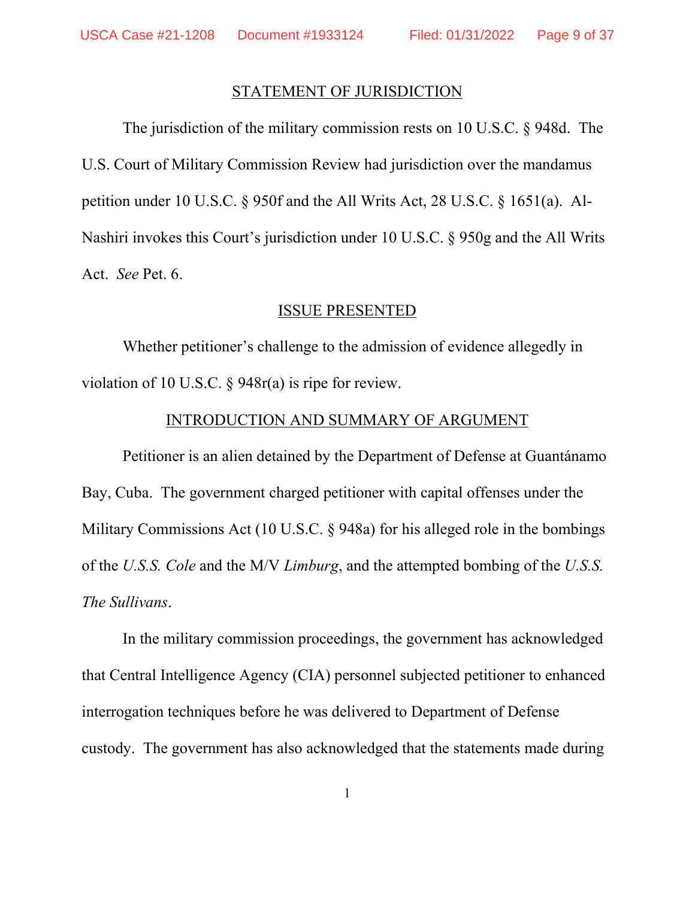#### STATEMENT OF JURISDICTION

The jurisdiction of the military commission rests on 10 U.S.C. § 948d. The U.S. Court of Military Commission Review had jurisdiction over the mandamus petition under 10 U.S.C. § 950f and the All Writs Act, 28 U.S.C. § 1651(a). Al-Nashiri invokes this Court's jurisdiction under 10 U.S.C. § 950g and the All Writs Act. *See* Pet. 6.

#### ISSUE PRESENTED

Whether petitioner's challenge to the admission of evidence allegedly in violation of 10 U.S.C. § 948r(a) is ripe for review.

#### INTRODUCTION AND SUMMARY OF ARGUMENT

Petitioner is an alien detained by the Department of Defense at Guantánamo Bay, Cuba. The government charged petitioner with capital offenses under the Military Commissions Act (10 U.S.C. § 948a) for his alleged role in the bombings of the *U.S.S. Cole* and the M/V *Limburg*, and the attempted bombing of the *U.S.S. The Sullivans*.

In the military commission proceedings, the government has acknowledged that Central Intelligence Agency (CIA) personnel subjected petitioner to enhanced interrogation techniques before he was delivered to Department of Defense custody. The government has also acknowledged that the statements made during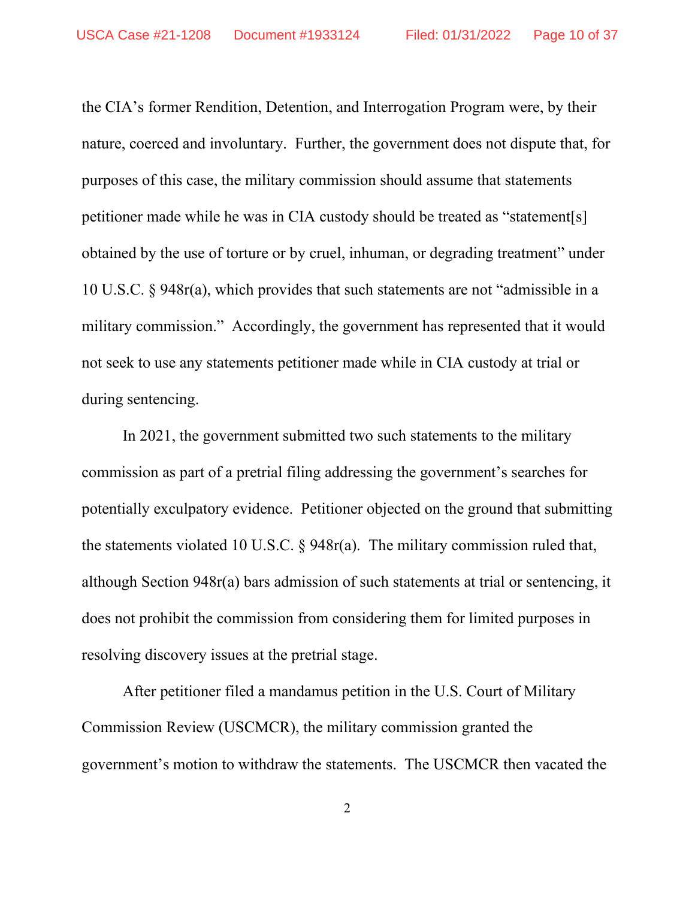the CIA's former Rendition, Detention, and Interrogation Program were, by their nature, coerced and involuntary. Further, the government does not dispute that, for purposes of this case, the military commission should assume that statements petitioner made while he was in CIA custody should be treated as "statement[s] obtained by the use of torture or by cruel, inhuman, or degrading treatment" under 10 U.S.C. § 948r(a), which provides that such statements are not "admissible in a military commission." Accordingly, the government has represented that it would not seek to use any statements petitioner made while in CIA custody at trial or during sentencing.

In 2021, the government submitted two such statements to the military commission as part of a pretrial filing addressing the government's searches for potentially exculpatory evidence. Petitioner objected on the ground that submitting the statements violated 10 U.S.C. § 948r(a). The military commission ruled that, although Section 948r(a) bars admission of such statements at trial or sentencing, it does not prohibit the commission from considering them for limited purposes in resolving discovery issues at the pretrial stage.

After petitioner filed a mandamus petition in the U.S. Court of Military Commission Review (USCMCR), the military commission granted the government's motion to withdraw the statements. The USCMCR then vacated the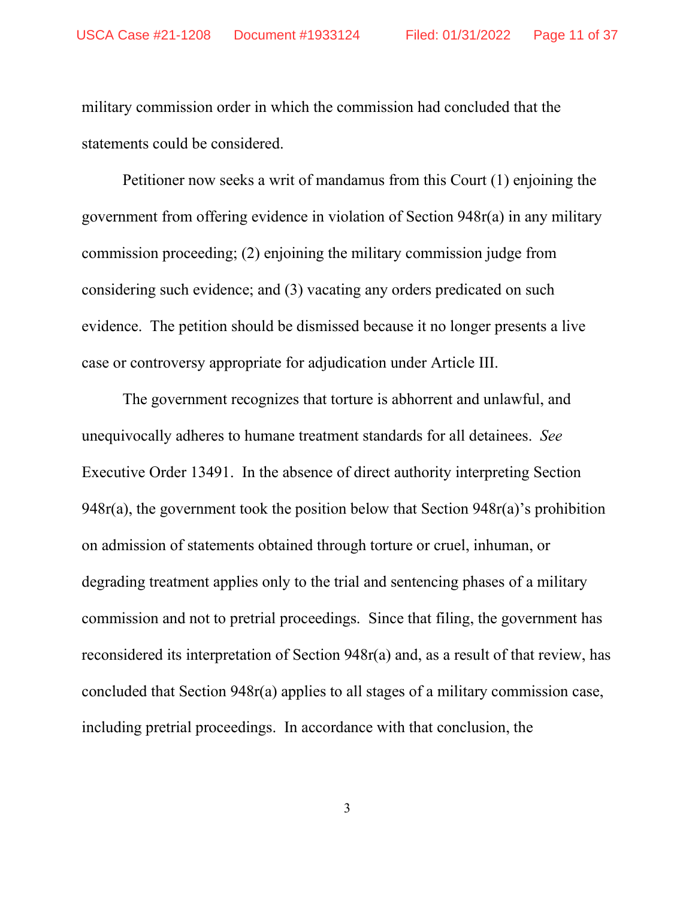military commission order in which the commission had concluded that the statements could be considered.

Petitioner now seeks a writ of mandamus from this Court (1) enjoining the government from offering evidence in violation of Section 948r(a) in any military commission proceeding; (2) enjoining the military commission judge from considering such evidence; and (3) vacating any orders predicated on such evidence. The petition should be dismissed because it no longer presents a live case or controversy appropriate for adjudication under Article III.

The government recognizes that torture is abhorrent and unlawful, and unequivocally adheres to humane treatment standards for all detainees. *See*  Executive Order 13491. In the absence of direct authority interpreting Section 948r(a), the government took the position below that Section 948r(a)'s prohibition on admission of statements obtained through torture or cruel, inhuman, or degrading treatment applies only to the trial and sentencing phases of a military commission and not to pretrial proceedings. Since that filing, the government has reconsidered its interpretation of Section 948r(a) and, as a result of that review, has concluded that Section 948r(a) applies to all stages of a military commission case, including pretrial proceedings. In accordance with that conclusion, the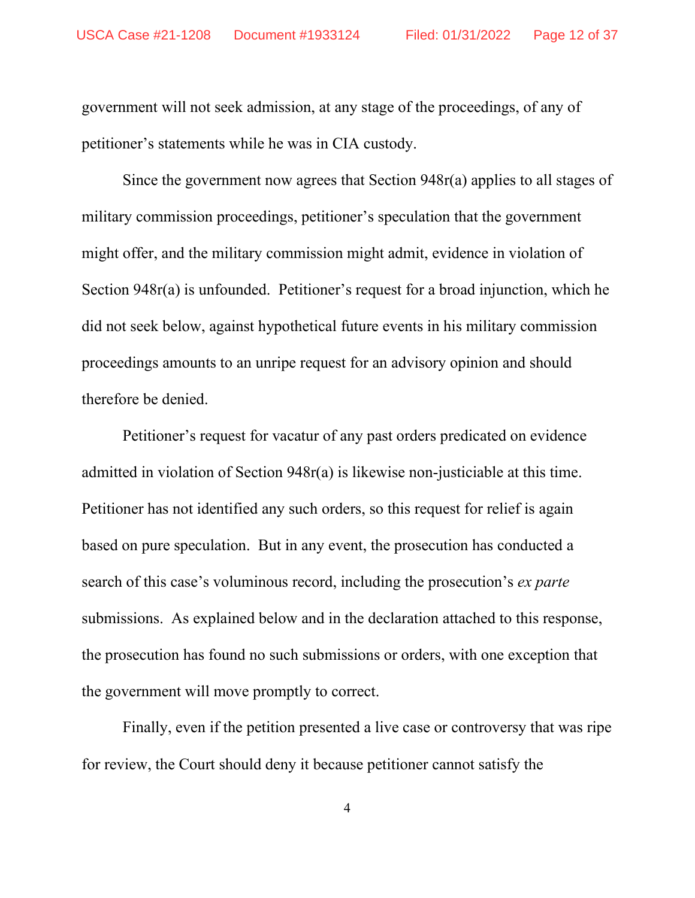government will not seek admission, at any stage of the proceedings, of any of petitioner's statements while he was in CIA custody.

Since the government now agrees that Section 948r(a) applies to all stages of military commission proceedings, petitioner's speculation that the government might offer, and the military commission might admit, evidence in violation of Section 948r(a) is unfounded. Petitioner's request for a broad injunction, which he did not seek below, against hypothetical future events in his military commission proceedings amounts to an unripe request for an advisory opinion and should therefore be denied.

Petitioner's request for vacatur of any past orders predicated on evidence admitted in violation of Section 948r(a) is likewise non-justiciable at this time. Petitioner has not identified any such orders, so this request for relief is again based on pure speculation. But in any event, the prosecution has conducted a search of this case's voluminous record, including the prosecution's *ex parte* submissions. As explained below and in the declaration attached to this response, the prosecution has found no such submissions or orders, with one exception that the government will move promptly to correct.

Finally, even if the petition presented a live case or controversy that was ripe for review, the Court should deny it because petitioner cannot satisfy the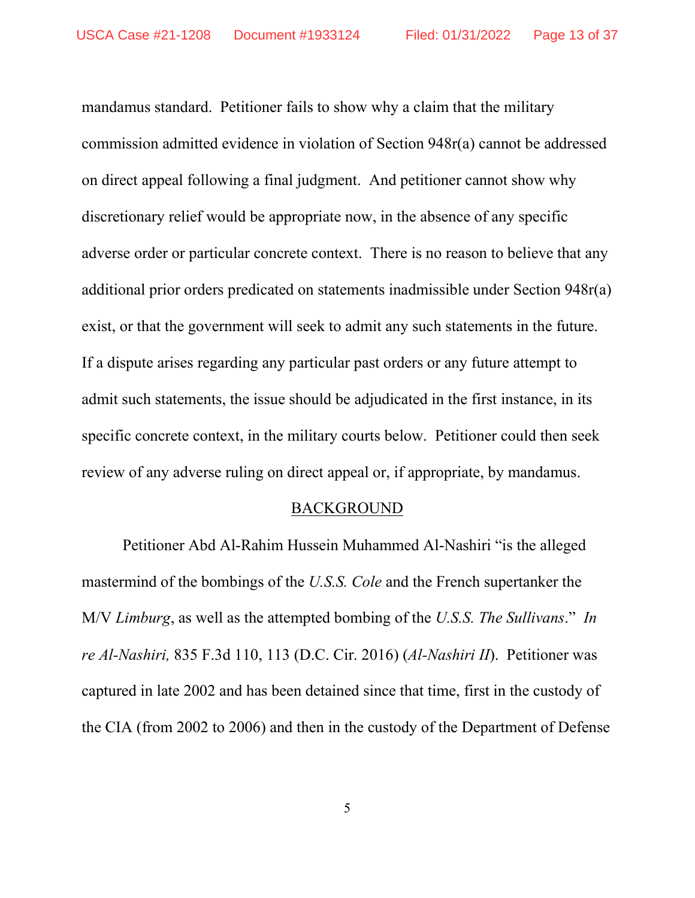mandamus standard. Petitioner fails to show why a claim that the military commission admitted evidence in violation of Section 948r(a) cannot be addressed on direct appeal following a final judgment. And petitioner cannot show why discretionary relief would be appropriate now, in the absence of any specific adverse order or particular concrete context. There is no reason to believe that any additional prior orders predicated on statements inadmissible under Section 948r(a) exist, or that the government will seek to admit any such statements in the future. If a dispute arises regarding any particular past orders or any future attempt to admit such statements, the issue should be adjudicated in the first instance, in its specific concrete context, in the military courts below. Petitioner could then seek review of any adverse ruling on direct appeal or, if appropriate, by mandamus.

#### BACKGROUND

Petitioner Abd Al-Rahim Hussein Muhammed Al-Nashiri "is the alleged mastermind of the bombings of the *U.S.S. Cole* and the French supertanker the M/V *Limburg*, as well as the attempted bombing of the *U.S.S. The Sullivans*." *In re Al-Nashiri,* 835 F.3d 110, 113 (D.C. Cir. 2016) (*Al-Nashiri II*). Petitioner was captured in late 2002 and has been detained since that time, first in the custody of the CIA (from 2002 to 2006) and then in the custody of the Department of Defense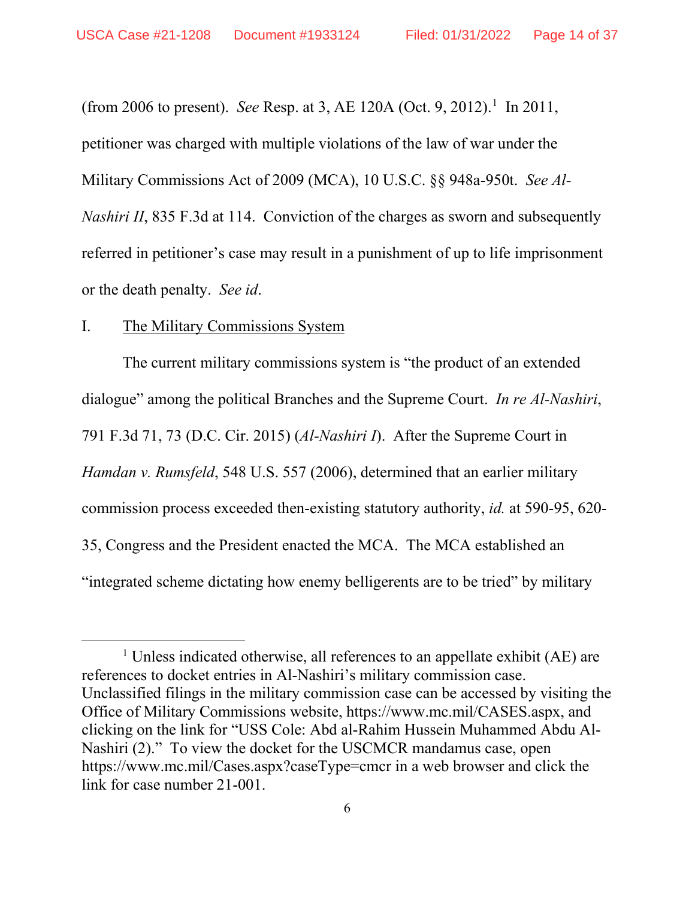(from 2006 to present). *See* Resp. at 3, AE 120A (Oct. 9, 2012).<sup>1</sup> In 2011, petitioner was charged with multiple violations of the law of war under the Military Commissions Act of 2009 (MCA), 10 U.S.C. §§ 948a-950t. *See Al-Nashiri II*, 835 F.3d at 114. Conviction of the charges as sworn and subsequently referred in petitioner's case may result in a punishment of up to life imprisonment or the death penalty. *See id*.

## I. The Military Commissions System

The current military commissions system is "the product of an extended dialogue" among the political Branches and the Supreme Court. *In re Al-Nashiri*, 791 F.3d 71, 73 (D.C. Cir. 2015) (*Al-Nashiri I*). After the Supreme Court in *Hamdan v. Rumsfeld*, 548 U.S. 557 (2006), determined that an earlier military commission process exceeded then-existing statutory authority, *id.* at 590-95, 620- 35, Congress and the President enacted the MCA. The MCA established an "integrated scheme dictating how enemy belligerents are to be tried" by military

<sup>&</sup>lt;sup>1</sup> Unless indicated otherwise, all references to an appellate exhibit (AE) are references to docket entries in Al-Nashiri's military commission case. Unclassified filings in the military commission case can be accessed by visiting the Office of Military Commissions website, https://www.mc.mil/CASES.aspx, and clicking on the link for "USS Cole: Abd al-Rahim Hussein Muhammed Abdu Al-Nashiri (2)." To view the docket for the USCMCR mandamus case, open https://www.mc.mil/Cases.aspx?caseType=cmcr in a web browser and click the link for case number 21-001.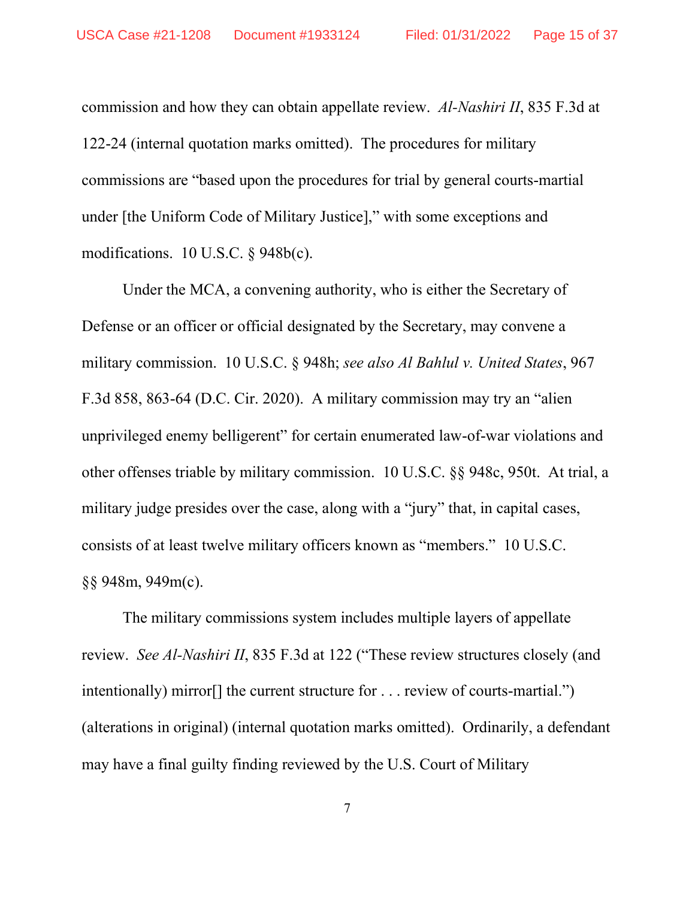commission and how they can obtain appellate review. *Al-Nashiri II*, 835 F.3d at 122-24 (internal quotation marks omitted). The procedures for military commissions are "based upon the procedures for trial by general courts-martial under [the Uniform Code of Military Justice]," with some exceptions and modifications. 10 U.S.C. § 948b(c).

Under the MCA, a convening authority, who is either the Secretary of Defense or an officer or official designated by the Secretary, may convene a military commission. 10 U.S.C. § 948h; *see also Al Bahlul v. United States*, 967 F.3d 858, 863-64 (D.C. Cir. 2020). A military commission may try an "alien unprivileged enemy belligerent" for certain enumerated law-of-war violations and other offenses triable by military commission. 10 U.S.C. §§ 948c, 950t. At trial, a military judge presides over the case, along with a "jury" that, in capital cases, consists of at least twelve military officers known as "members." 10 U.S.C. §§ 948m, 949m(c).

The military commissions system includes multiple layers of appellate review. *See Al-Nashiri II*, 835 F.3d at 122 ("These review structures closely (and intentionally) mirror[] the current structure for . . . review of courts-martial.") (alterations in original) (internal quotation marks omitted). Ordinarily, a defendant may have a final guilty finding reviewed by the U.S. Court of Military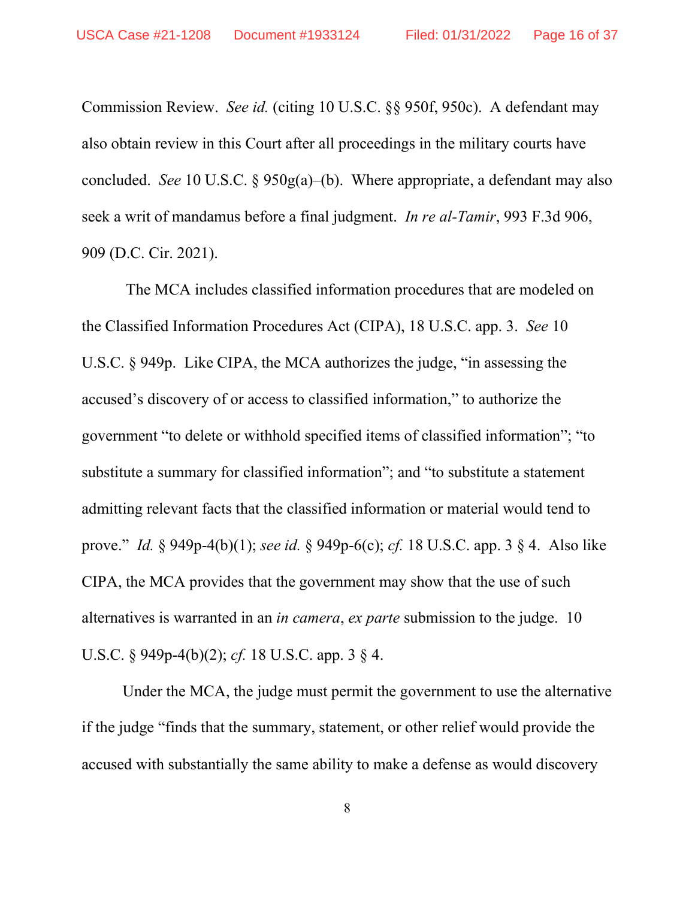Commission Review. *See id.* (citing 10 U.S.C. §§ 950f, 950c). A defendant may also obtain review in this Court after all proceedings in the military courts have concluded. *See* 10 U.S.C. § 950g(a)–(b). Where appropriate, a defendant may also seek a writ of mandamus before a final judgment. *In re al-Tamir*, 993 F.3d 906, 909 (D.C. Cir. 2021).

The MCA includes classified information procedures that are modeled on the Classified Information Procedures Act (CIPA), 18 U.S.C. app. 3. *See* 10 U.S.C. § 949p. Like CIPA, the MCA authorizes the judge, "in assessing the accused's discovery of or access to classified information," to authorize the government "to delete or withhold specified items of classified information"; "to substitute a summary for classified information"; and "to substitute a statement admitting relevant facts that the classified information or material would tend to prove." *Id.* § 949p-4(b)(1); *see id.* § 949p-6(c); *cf.* 18 U.S.C. app. 3 § 4. Also like CIPA, the MCA provides that the government may show that the use of such alternatives is warranted in an *in camera*, *ex parte* submission to the judge. 10 U.S.C. § 949p-4(b)(2); *cf.* 18 U.S.C. app. 3 § 4.

Under the MCA, the judge must permit the government to use the alternative if the judge "finds that the summary, statement, or other relief would provide the accused with substantially the same ability to make a defense as would discovery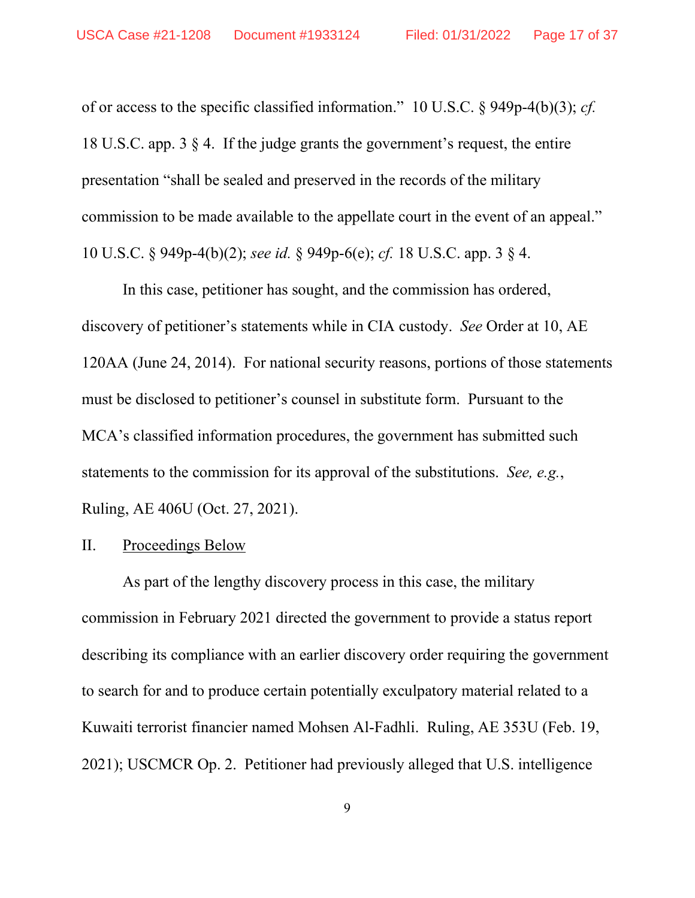of or access to the specific classified information." 10 U.S.C. § 949p-4(b)(3); *cf.* 18 U.S.C. app. 3 § 4. If the judge grants the government's request, the entire presentation "shall be sealed and preserved in the records of the military commission to be made available to the appellate court in the event of an appeal." 10 U.S.C. § 949p-4(b)(2); *see id.* § 949p-6(e); *cf.* 18 U.S.C. app. 3 § 4.

In this case, petitioner has sought, and the commission has ordered, discovery of petitioner's statements while in CIA custody. *See* Order at 10, AE 120AA (June 24, 2014). For national security reasons, portions of those statements must be disclosed to petitioner's counsel in substitute form. Pursuant to the MCA's classified information procedures, the government has submitted such statements to the commission for its approval of the substitutions. *See, e.g.*, Ruling, AE 406U (Oct. 27, 2021).

## II. Proceedings Below

As part of the lengthy discovery process in this case, the military commission in February 2021 directed the government to provide a status report describing its compliance with an earlier discovery order requiring the government to search for and to produce certain potentially exculpatory material related to a Kuwaiti terrorist financier named Mohsen Al-Fadhli. Ruling, AE 353U (Feb. 19, 2021); USCMCR Op. 2. Petitioner had previously alleged that U.S. intelligence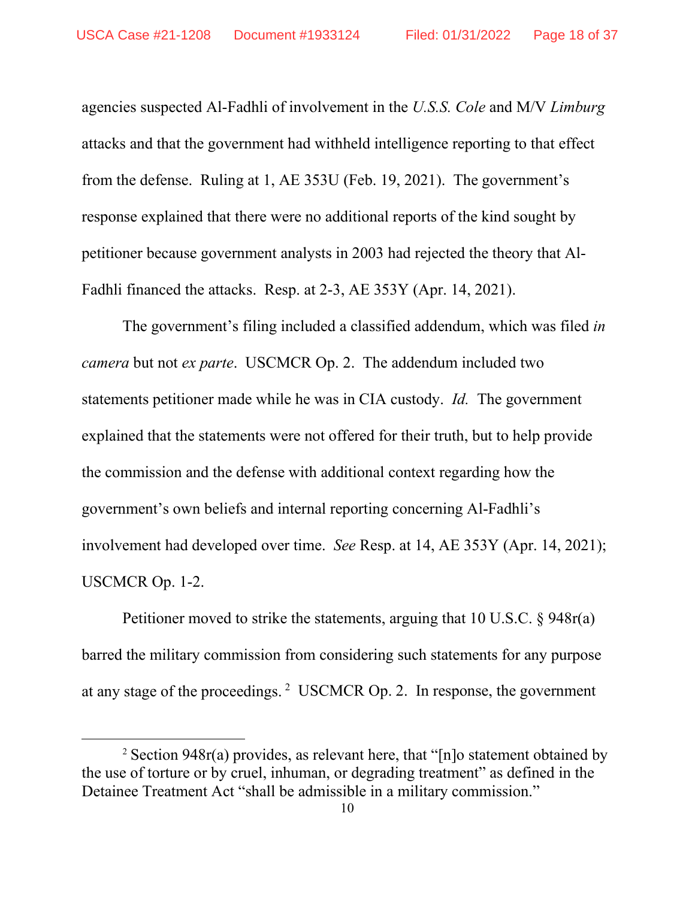agencies suspected Al-Fadhli of involvement in the *U.S.S. Cole* and M/V *Limburg*  attacks and that the government had withheld intelligence reporting to that effect from the defense. Ruling at 1, AE 353U (Feb. 19, 2021). The government's response explained that there were no additional reports of the kind sought by petitioner because government analysts in 2003 had rejected the theory that Al-Fadhli financed the attacks. Resp. at 2-3, AE 353Y (Apr. 14, 2021).

The government's filing included a classified addendum, which was filed *in camera* but not *ex parte*. USCMCR Op. 2. The addendum included two statements petitioner made while he was in CIA custody. *Id.* The government explained that the statements were not offered for their truth, but to help provide the commission and the defense with additional context regarding how the government's own beliefs and internal reporting concerning Al-Fadhli's involvement had developed over time. *See* Resp. at 14, AE 353Y (Apr. 14, 2021); USCMCR Op. 1-2.

Petitioner moved to strike the statements, arguing that 10 U.S.C. § 948r(a) barred the military commission from considering such statements for any purpose at any stage of the proceedings.  $2$  USCMCR Op. 2. In response, the government

<sup>&</sup>lt;sup>2</sup> Section 948r(a) provides, as relevant here, that "[n]o statement obtained by the use of torture or by cruel, inhuman, or degrading treatment" as defined in the Detainee Treatment Act "shall be admissible in a military commission."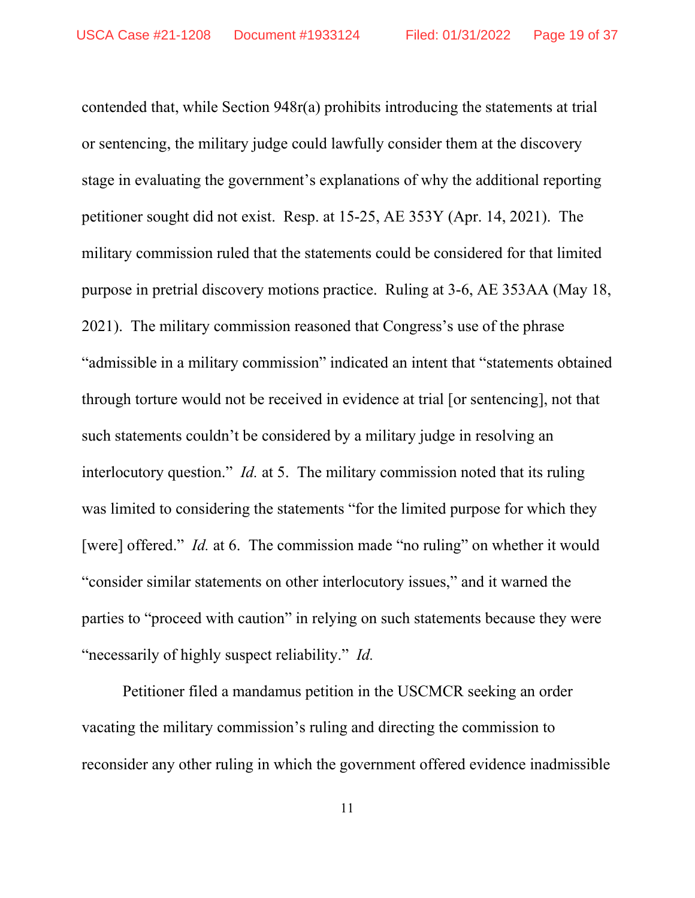contended that, while Section 948r(a) prohibits introducing the statements at trial or sentencing, the military judge could lawfully consider them at the discovery stage in evaluating the government's explanations of why the additional reporting petitioner sought did not exist. Resp. at 15-25, AE 353Y (Apr. 14, 2021). The military commission ruled that the statements could be considered for that limited purpose in pretrial discovery motions practice. Ruling at 3-6, AE 353AA (May 18, 2021). The military commission reasoned that Congress's use of the phrase "admissible in a military commission" indicated an intent that "statements obtained through torture would not be received in evidence at trial [or sentencing], not that such statements couldn't be considered by a military judge in resolving an interlocutory question." *Id.* at 5. The military commission noted that its ruling was limited to considering the statements "for the limited purpose for which they [were] offered." *Id.* at 6. The commission made "no ruling" on whether it would "consider similar statements on other interlocutory issues," and it warned the parties to "proceed with caution" in relying on such statements because they were "necessarily of highly suspect reliability." *Id.*

Petitioner filed a mandamus petition in the USCMCR seeking an order vacating the military commission's ruling and directing the commission to reconsider any other ruling in which the government offered evidence inadmissible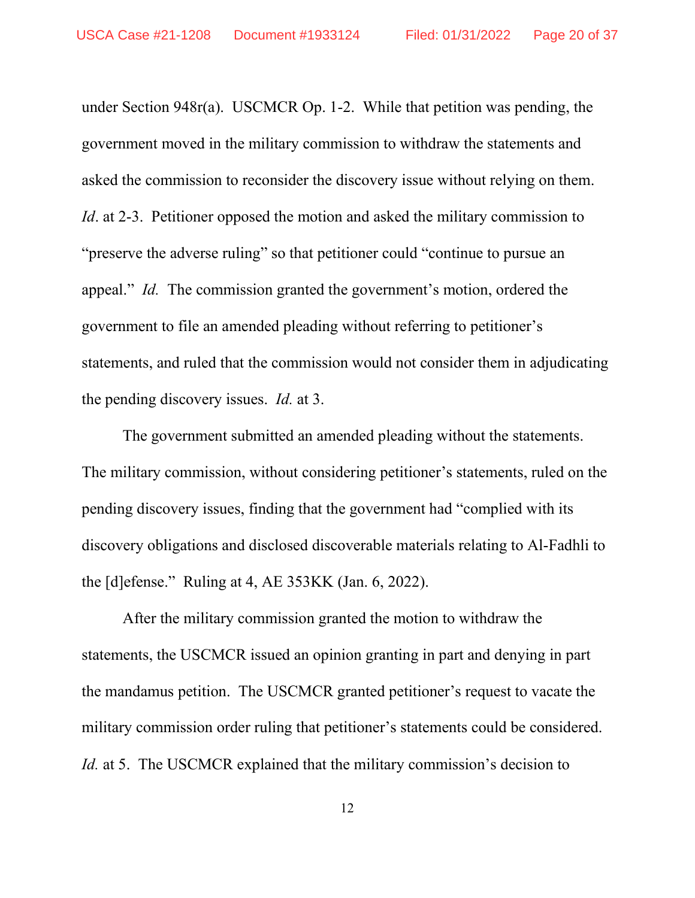under Section 948r(a). USCMCR Op. 1-2. While that petition was pending, the government moved in the military commission to withdraw the statements and asked the commission to reconsider the discovery issue without relying on them. *Id*. at 2-3. Petitioner opposed the motion and asked the military commission to "preserve the adverse ruling" so that petitioner could "continue to pursue an appeal." *Id.* The commission granted the government's motion, ordered the government to file an amended pleading without referring to petitioner's statements, and ruled that the commission would not consider them in adjudicating the pending discovery issues. *Id.* at 3.

The government submitted an amended pleading without the statements. The military commission, without considering petitioner's statements, ruled on the pending discovery issues, finding that the government had "complied with its discovery obligations and disclosed discoverable materials relating to Al-Fadhli to the [d]efense." Ruling at 4, AE 353KK (Jan. 6, 2022).

After the military commission granted the motion to withdraw the statements, the USCMCR issued an opinion granting in part and denying in part the mandamus petition. The USCMCR granted petitioner's request to vacate the military commission order ruling that petitioner's statements could be considered. *Id.* at 5. The USCMCR explained that the military commission's decision to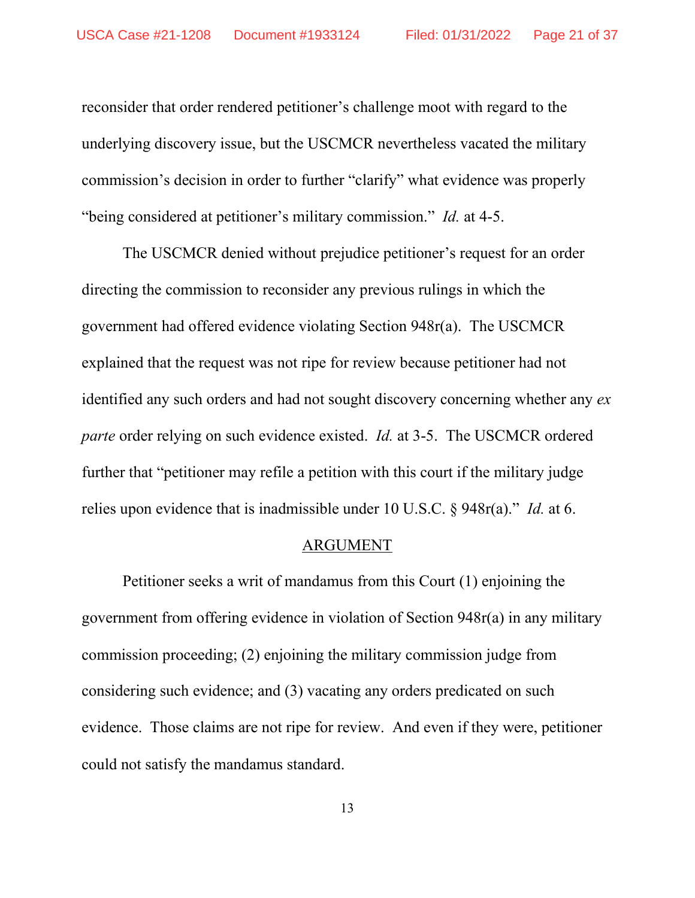reconsider that order rendered petitioner's challenge moot with regard to the underlying discovery issue, but the USCMCR nevertheless vacated the military commission's decision in order to further "clarify" what evidence was properly "being considered at petitioner's military commission." *Id.* at 4-5.

The USCMCR denied without prejudice petitioner's request for an order directing the commission to reconsider any previous rulings in which the government had offered evidence violating Section 948r(a). The USCMCR explained that the request was not ripe for review because petitioner had not identified any such orders and had not sought discovery concerning whether any *ex parte* order relying on such evidence existed. *Id.* at 3-5. The USCMCR ordered further that "petitioner may refile a petition with this court if the military judge relies upon evidence that is inadmissible under 10 U.S.C. § 948r(a)." *Id.* at 6.

#### ARGUMENT

Petitioner seeks a writ of mandamus from this Court (1) enjoining the government from offering evidence in violation of Section 948r(a) in any military commission proceeding; (2) enjoining the military commission judge from considering such evidence; and (3) vacating any orders predicated on such evidence. Those claims are not ripe for review. And even if they were, petitioner could not satisfy the mandamus standard.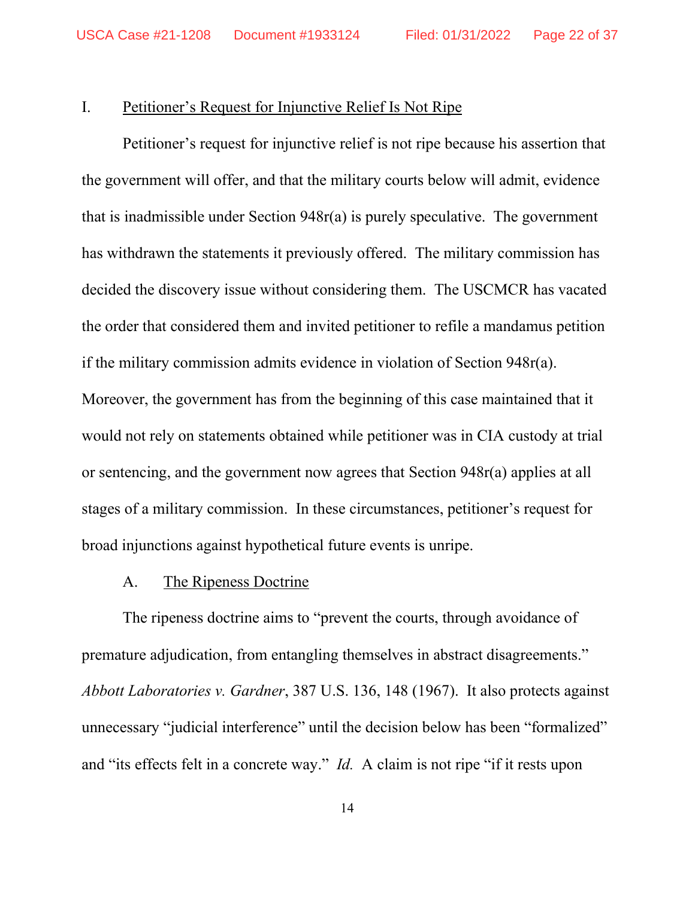## I. Petitioner's Request for Injunctive Relief Is Not Ripe

Petitioner's request for injunctive relief is not ripe because his assertion that the government will offer, and that the military courts below will admit, evidence that is inadmissible under Section 948r(a) is purely speculative. The government has withdrawn the statements it previously offered. The military commission has decided the discovery issue without considering them. The USCMCR has vacated the order that considered them and invited petitioner to refile a mandamus petition if the military commission admits evidence in violation of Section 948r(a). Moreover, the government has from the beginning of this case maintained that it would not rely on statements obtained while petitioner was in CIA custody at trial or sentencing, and the government now agrees that Section 948r(a) applies at all stages of a military commission. In these circumstances, petitioner's request for

broad injunctions against hypothetical future events is unripe.

## A. The Ripeness Doctrine

The ripeness doctrine aims to "prevent the courts, through avoidance of premature adjudication, from entangling themselves in abstract disagreements." *Abbott Laboratories v. Gardner*, 387 U.S. 136, 148 (1967). It also protects against unnecessary "judicial interference" until the decision below has been "formalized" and "its effects felt in a concrete way." *Id.* A claim is not ripe "if it rests upon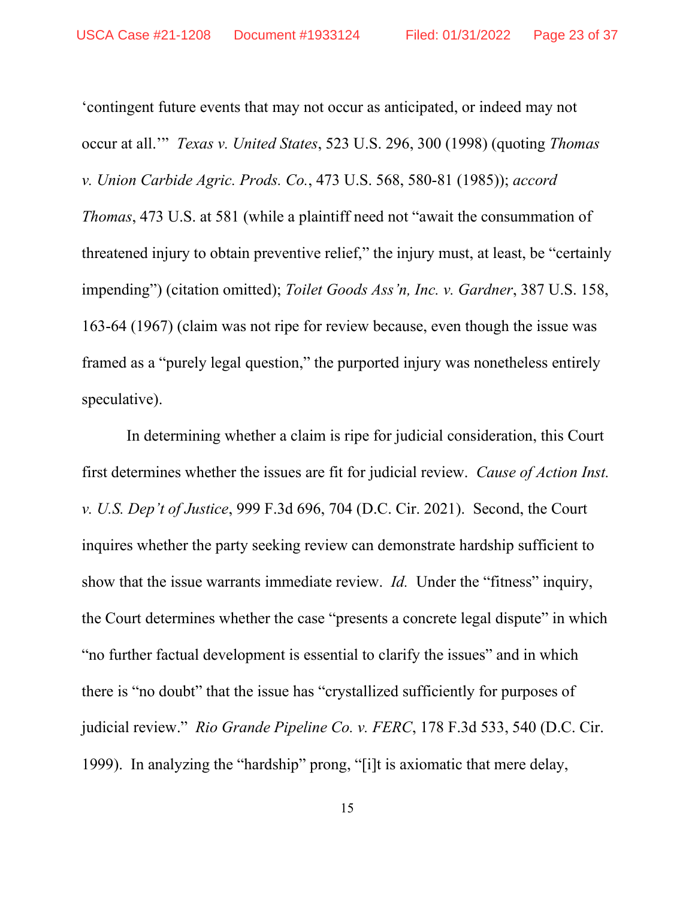'contingent future events that may not occur as anticipated, or indeed may not occur at all.'" *Texas v. United States*, 523 U.S. 296, 300 (1998) (quoting *Thomas v. Union Carbide Agric. Prods. Co.*, 473 U.S. 568, 580-81 (1985)); *accord Thomas*, 473 U.S. at 581 (while a plaintiff need not "await the consummation of threatened injury to obtain preventive relief," the injury must, at least, be "certainly impending") (citation omitted); *Toilet Goods Ass'n, Inc. v. Gardner*, 387 U.S. 158, 163-64 (1967) (claim was not ripe for review because, even though the issue was framed as a "purely legal question," the purported injury was nonetheless entirely speculative).

In determining whether a claim is ripe for judicial consideration, this Court first determines whether the issues are fit for judicial review. *Cause of Action Inst. v. U.S. Dep't of Justice*, 999 F.3d 696, 704 (D.C. Cir. 2021). Second, the Court inquires whether the party seeking review can demonstrate hardship sufficient to show that the issue warrants immediate review. *Id.* Under the "fitness" inquiry, the Court determines whether the case "presents a concrete legal dispute" in which "no further factual development is essential to clarify the issues" and in which there is "no doubt" that the issue has "crystallized sufficiently for purposes of judicial review." *Rio Grande Pipeline Co. v. FERC*, 178 F.3d 533, 540 (D.C. Cir. 1999). In analyzing the "hardship" prong, "[i]t is axiomatic that mere delay,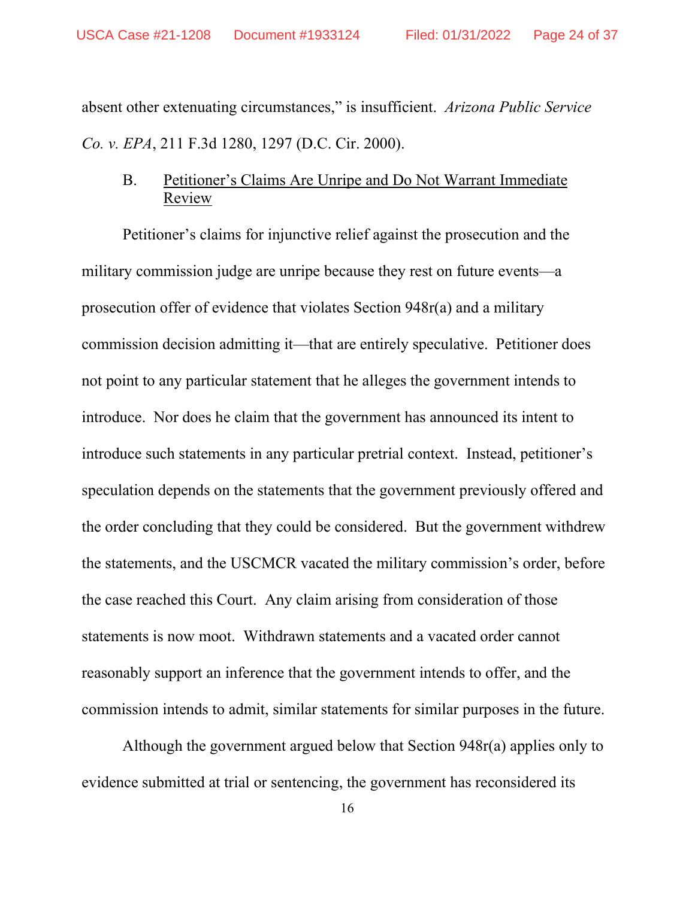absent other extenuating circumstances," is insufficient. *Arizona Public Service Co. v. EPA*, 211 F.3d 1280, 1297 (D.C. Cir. 2000).

## B. Petitioner's Claims Are Unripe and Do Not Warrant Immediate Review

Petitioner's claims for injunctive relief against the prosecution and the military commission judge are unripe because they rest on future events—a prosecution offer of evidence that violates Section 948r(a) and a military commission decision admitting it—that are entirely speculative. Petitioner does not point to any particular statement that he alleges the government intends to introduce. Nor does he claim that the government has announced its intent to introduce such statements in any particular pretrial context. Instead, petitioner's speculation depends on the statements that the government previously offered and the order concluding that they could be considered. But the government withdrew the statements, and the USCMCR vacated the military commission's order, before the case reached this Court. Any claim arising from consideration of those statements is now moot. Withdrawn statements and a vacated order cannot reasonably support an inference that the government intends to offer, and the commission intends to admit, similar statements for similar purposes in the future.

Although the government argued below that Section 948r(a) applies only to evidence submitted at trial or sentencing, the government has reconsidered its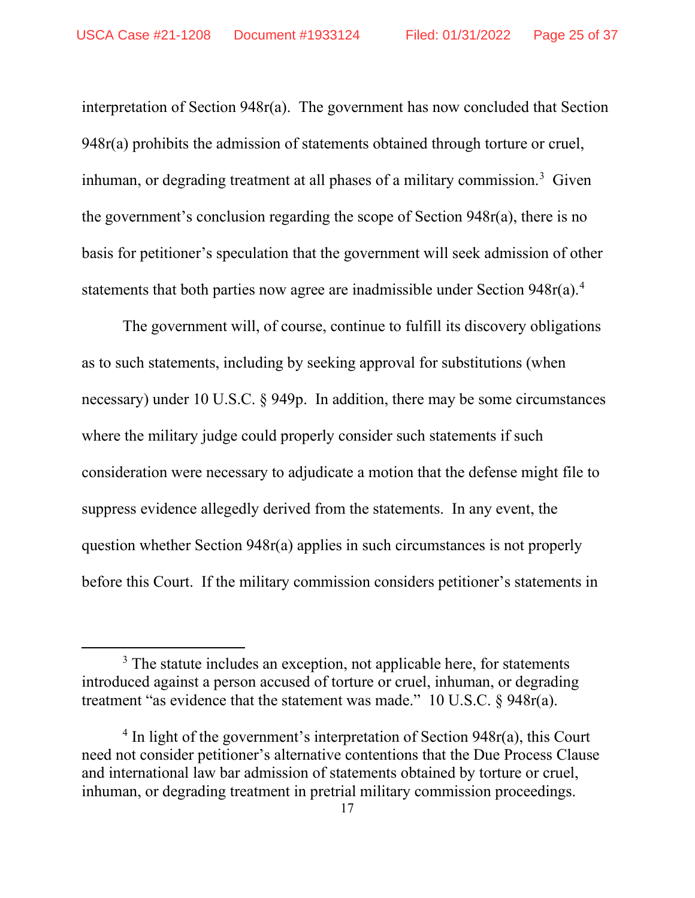interpretation of Section 948r(a). The government has now concluded that Section 948r(a) prohibits the admission of statements obtained through torture or cruel, inhuman, or degrading treatment at all phases of a military commission.<sup>3</sup> Given the government's conclusion regarding the scope of Section 948r(a), there is no basis for petitioner's speculation that the government will seek admission of other statements that both parties now agree are inadmissible under Section  $948r(a)$ <sup>4</sup>

The government will, of course, continue to fulfill its discovery obligations as to such statements, including by seeking approval for substitutions (when necessary) under 10 U.S.C. § 949p. In addition, there may be some circumstances where the military judge could properly consider such statements if such consideration were necessary to adjudicate a motion that the defense might file to suppress evidence allegedly derived from the statements. In any event, the question whether Section 948r(a) applies in such circumstances is not properly before this Court. If the military commission considers petitioner's statements in

 $3$  The statute includes an exception, not applicable here, for statements introduced against a person accused of torture or cruel, inhuman, or degrading treatment "as evidence that the statement was made." 10 U.S.C. § 948r(a).

 $4 \text{ In light of the government's interpretation of Section } 948r(a)$ , this Court need not consider petitioner's alternative contentions that the Due Process Clause and international law bar admission of statements obtained by torture or cruel, inhuman, or degrading treatment in pretrial military commission proceedings.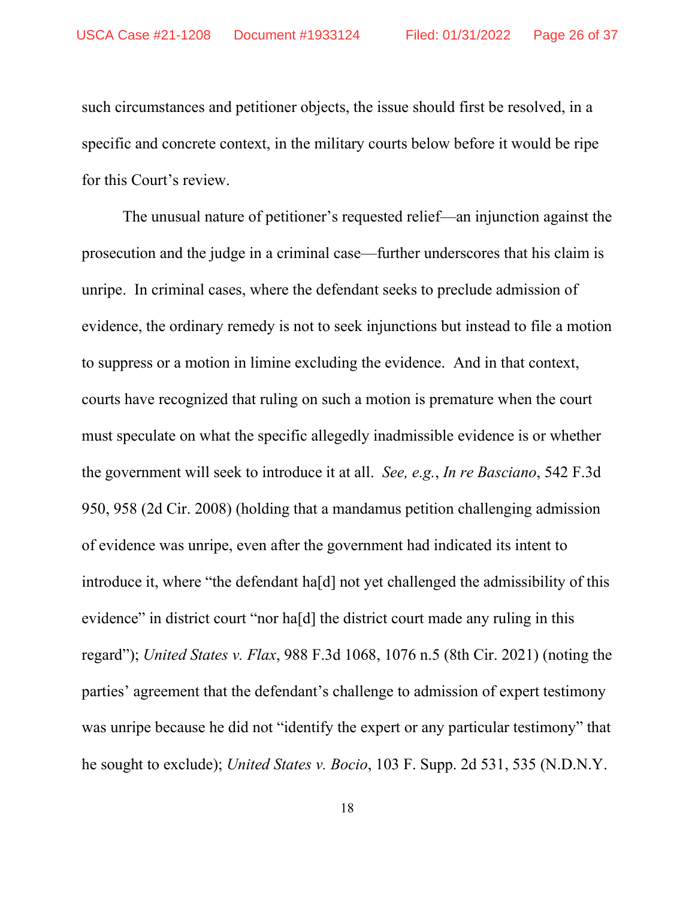such circumstances and petitioner objects, the issue should first be resolved, in a specific and concrete context, in the military courts below before it would be ripe for this Court's review.

The unusual nature of petitioner's requested relief—an injunction against the prosecution and the judge in a criminal case—further underscores that his claim is unripe. In criminal cases, where the defendant seeks to preclude admission of evidence, the ordinary remedy is not to seek injunctions but instead to file a motion to suppress or a motion in limine excluding the evidence. And in that context, courts have recognized that ruling on such a motion is premature when the court must speculate on what the specific allegedly inadmissible evidence is or whether the government will seek to introduce it at all. *See, e.g.*, *In re Basciano*, 542 F.3d 950, 958 (2d Cir. 2008) (holding that a mandamus petition challenging admission of evidence was unripe, even after the government had indicated its intent to introduce it, where "the defendant ha[d] not yet challenged the admissibility of this evidence" in district court "nor ha[d] the district court made any ruling in this regard"); *United States v. Flax*, 988 F.3d 1068, 1076 n.5 (8th Cir. 2021) (noting the parties' agreement that the defendant's challenge to admission of expert testimony was unripe because he did not "identify the expert or any particular testimony" that he sought to exclude); *United States v. Bocio*, 103 F. Supp. 2d 531, 535 (N.D.N.Y.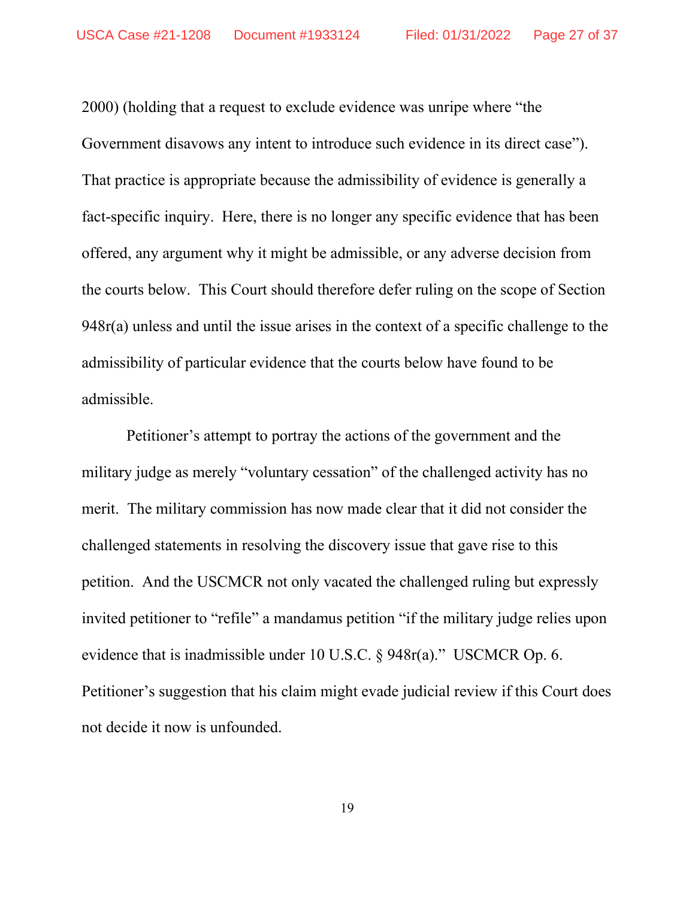2000) (holding that a request to exclude evidence was unripe where "the Government disavows any intent to introduce such evidence in its direct case"). That practice is appropriate because the admissibility of evidence is generally a fact-specific inquiry. Here, there is no longer any specific evidence that has been offered, any argument why it might be admissible, or any adverse decision from the courts below. This Court should therefore defer ruling on the scope of Section 948r(a) unless and until the issue arises in the context of a specific challenge to the admissibility of particular evidence that the courts below have found to be admissible.

Petitioner's attempt to portray the actions of the government and the military judge as merely "voluntary cessation" of the challenged activity has no merit. The military commission has now made clear that it did not consider the challenged statements in resolving the discovery issue that gave rise to this petition. And the USCMCR not only vacated the challenged ruling but expressly invited petitioner to "refile" a mandamus petition "if the military judge relies upon evidence that is inadmissible under 10 U.S.C. § 948r(a)." USCMCR Op. 6. Petitioner's suggestion that his claim might evade judicial review if this Court does not decide it now is unfounded.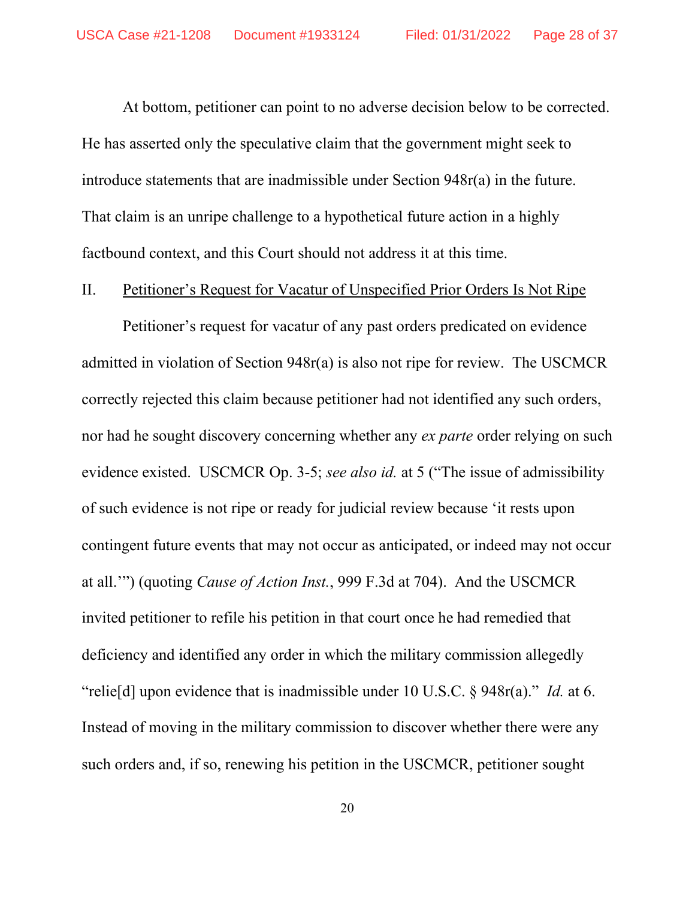At bottom, petitioner can point to no adverse decision below to be corrected. He has asserted only the speculative claim that the government might seek to introduce statements that are inadmissible under Section 948r(a) in the future. That claim is an unripe challenge to a hypothetical future action in a highly factbound context, and this Court should not address it at this time.

### II. Petitioner's Request for Vacatur of Unspecified Prior Orders Is Not Ripe

Petitioner's request for vacatur of any past orders predicated on evidence admitted in violation of Section 948r(a) is also not ripe for review. The USCMCR correctly rejected this claim because petitioner had not identified any such orders, nor had he sought discovery concerning whether any *ex parte* order relying on such evidence existed. USCMCR Op. 3-5; *see also id.* at 5 ("The issue of admissibility of such evidence is not ripe or ready for judicial review because 'it rests upon contingent future events that may not occur as anticipated, or indeed may not occur at all.'") (quoting *Cause of Action Inst.*, 999 F.3d at 704). And the USCMCR invited petitioner to refile his petition in that court once he had remedied that deficiency and identified any order in which the military commission allegedly "relie[d] upon evidence that is inadmissible under 10 U.S.C. § 948r(a)." *Id.* at 6. Instead of moving in the military commission to discover whether there were any such orders and, if so, renewing his petition in the USCMCR, petitioner sought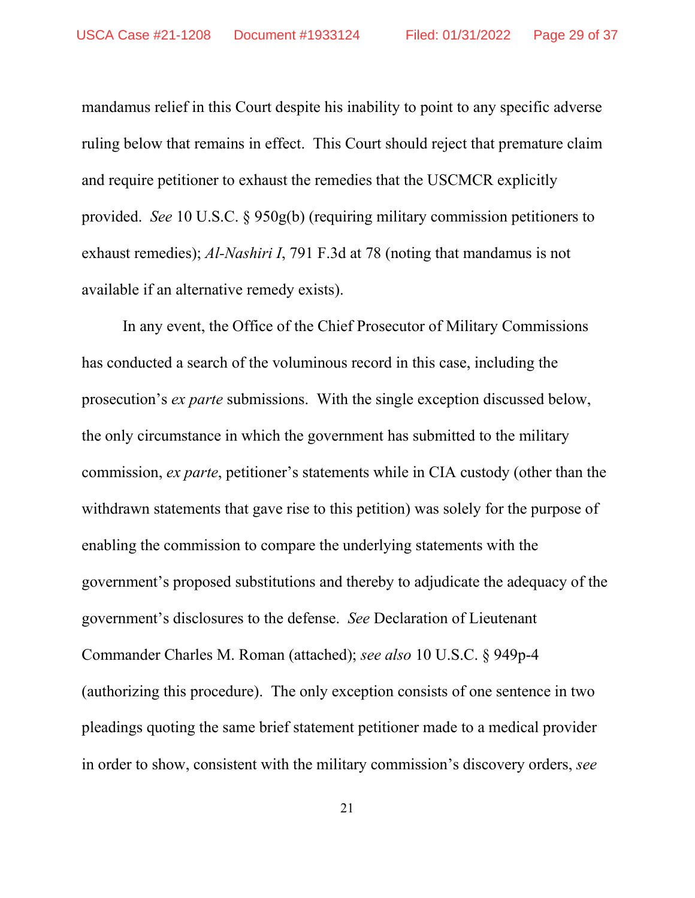mandamus relief in this Court despite his inability to point to any specific adverse ruling below that remains in effect. This Court should reject that premature claim and require petitioner to exhaust the remedies that the USCMCR explicitly provided. *See* 10 U.S.C. § 950g(b) (requiring military commission petitioners to exhaust remedies); *Al-Nashiri I*, 791 F.3d at 78 (noting that mandamus is not available if an alternative remedy exists).

In any event, the Office of the Chief Prosecutor of Military Commissions has conducted a search of the voluminous record in this case, including the prosecution's *ex parte* submissions. With the single exception discussed below, the only circumstance in which the government has submitted to the military commission, *ex parte*, petitioner's statements while in CIA custody (other than the withdrawn statements that gave rise to this petition) was solely for the purpose of enabling the commission to compare the underlying statements with the government's proposed substitutions and thereby to adjudicate the adequacy of the government's disclosures to the defense. *See* Declaration of Lieutenant Commander Charles M. Roman (attached); *see also* 10 U.S.C. § 949p-4 (authorizing this procedure). The only exception consists of one sentence in two pleadings quoting the same brief statement petitioner made to a medical provider in order to show, consistent with the military commission's discovery orders, *see*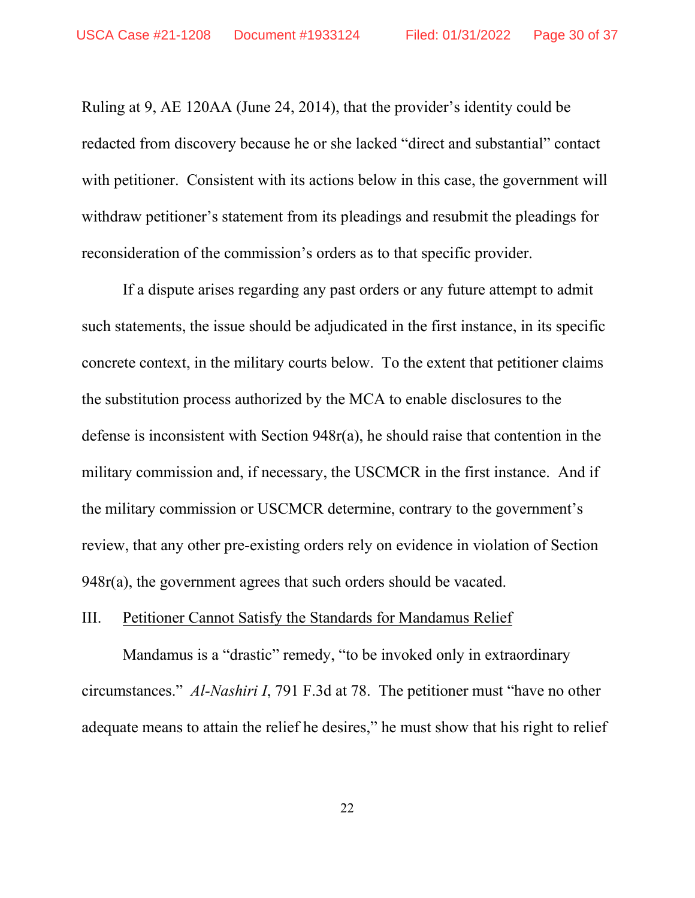Ruling at 9, AE 120AA (June 24, 2014), that the provider's identity could be redacted from discovery because he or she lacked "direct and substantial" contact with petitioner. Consistent with its actions below in this case, the government will withdraw petitioner's statement from its pleadings and resubmit the pleadings for reconsideration of the commission's orders as to that specific provider.

If a dispute arises regarding any past orders or any future attempt to admit such statements, the issue should be adjudicated in the first instance, in its specific concrete context, in the military courts below. To the extent that petitioner claims the substitution process authorized by the MCA to enable disclosures to the defense is inconsistent with Section 948r(a), he should raise that contention in the military commission and, if necessary, the USCMCR in the first instance. And if the military commission or USCMCR determine, contrary to the government's review, that any other pre-existing orders rely on evidence in violation of Section 948r(a), the government agrees that such orders should be vacated.

### III. Petitioner Cannot Satisfy the Standards for Mandamus Relief

Mandamus is a "drastic" remedy, "to be invoked only in extraordinary circumstances." *Al-Nashiri I*, 791 F.3d at 78. The petitioner must "have no other adequate means to attain the relief he desires," he must show that his right to relief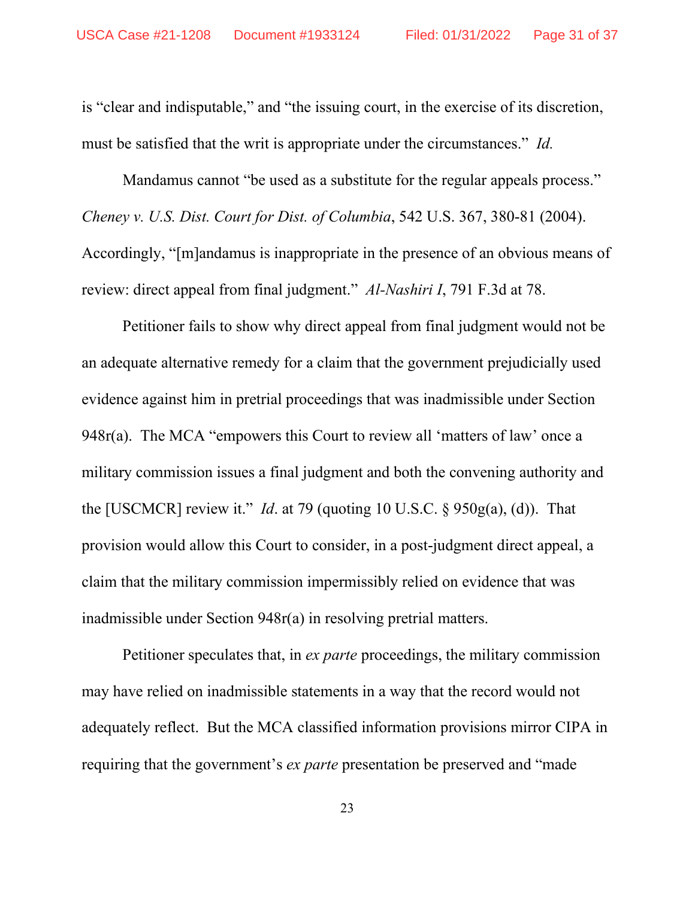is "clear and indisputable," and "the issuing court, in the exercise of its discretion, must be satisfied that the writ is appropriate under the circumstances." *Id.*

Mandamus cannot "be used as a substitute for the regular appeals process." *Cheney v. U.S. Dist. Court for Dist. of Columbia*, 542 U.S. 367, 380-81 (2004). Accordingly, "[m]andamus is inappropriate in the presence of an obvious means of review: direct appeal from final judgment." *Al-Nashiri I*, 791 F.3d at 78.

Petitioner fails to show why direct appeal from final judgment would not be an adequate alternative remedy for a claim that the government prejudicially used evidence against him in pretrial proceedings that was inadmissible under Section 948r(a). The MCA "empowers this Court to review all 'matters of law' once a military commission issues a final judgment and both the convening authority and the [USCMCR] review it." *Id*. at 79 (quoting 10 U.S.C. § 950g(a), (d)). That provision would allow this Court to consider, in a post-judgment direct appeal, a claim that the military commission impermissibly relied on evidence that was inadmissible under Section 948r(a) in resolving pretrial matters.

Petitioner speculates that, in *ex parte* proceedings, the military commission may have relied on inadmissible statements in a way that the record would not adequately reflect. But the MCA classified information provisions mirror CIPA in requiring that the government's *ex parte* presentation be preserved and "made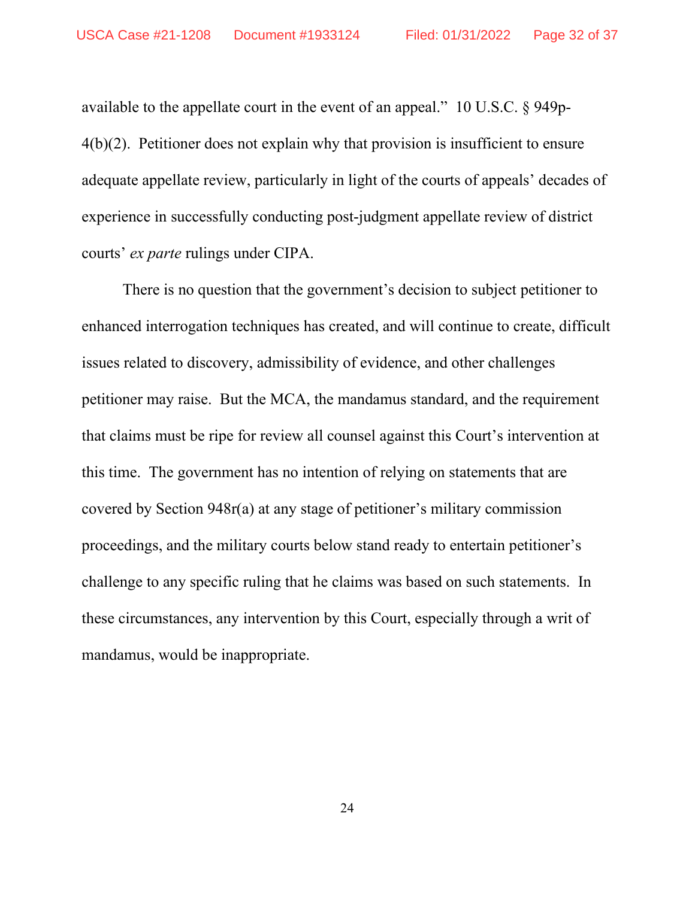available to the appellate court in the event of an appeal." 10 U.S.C. § 949p-4(b)(2). Petitioner does not explain why that provision is insufficient to ensure adequate appellate review, particularly in light of the courts of appeals' decades of experience in successfully conducting post-judgment appellate review of district courts' *ex parte* rulings under CIPA.

There is no question that the government's decision to subject petitioner to enhanced interrogation techniques has created, and will continue to create, difficult issues related to discovery, admissibility of evidence, and other challenges petitioner may raise. But the MCA, the mandamus standard, and the requirement that claims must be ripe for review all counsel against this Court's intervention at this time. The government has no intention of relying on statements that are covered by Section 948r(a) at any stage of petitioner's military commission proceedings, and the military courts below stand ready to entertain petitioner's challenge to any specific ruling that he claims was based on such statements. In these circumstances, any intervention by this Court, especially through a writ of mandamus, would be inappropriate.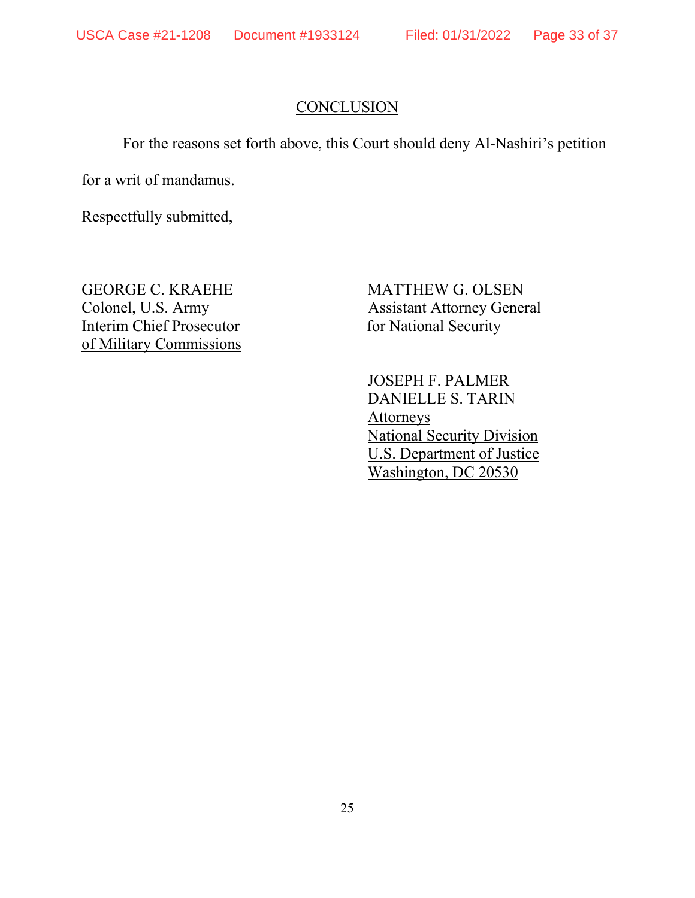# **CONCLUSION**

For the reasons set forth above, this Court should deny Al-Nashiri's petition

for a writ of mandamus.

Respectfully submitted,

Interim Chief Prosecutor for National Security of Military Commissions

GEORGE C. KRAEHE MATTHEW G. OLSEN Colonel, U.S. Army Assistant Attorney General

> JOSEPH F. PALMER DANIELLE S. TARIN Attorneys National Security Division U.S. Department of Justice Washington, DC 20530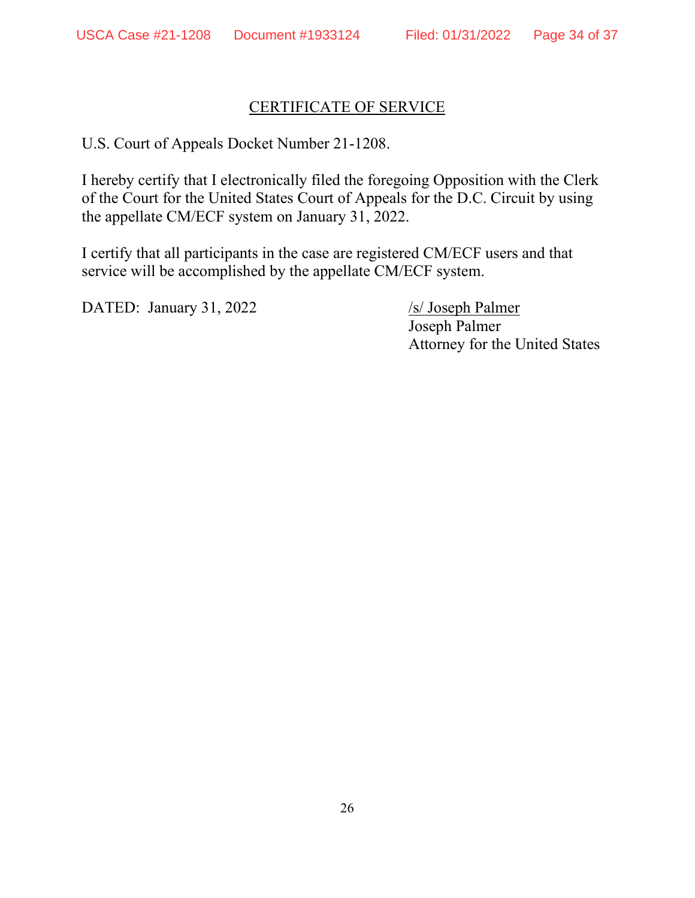# CERTIFICATE OF SERVICE

U.S. Court of Appeals Docket Number 21-1208.

I hereby certify that I electronically filed the foregoing Opposition with the Clerk of the Court for the United States Court of Appeals for the D.C. Circuit by using the appellate CM/ECF system on January 31, 2022.

I certify that all participants in the case are registered CM/ECF users and that service will be accomplished by the appellate CM/ECF system.

DATED: January 31, 2022 /s/ Joseph Palmer

Joseph Palmer Attorney for the United States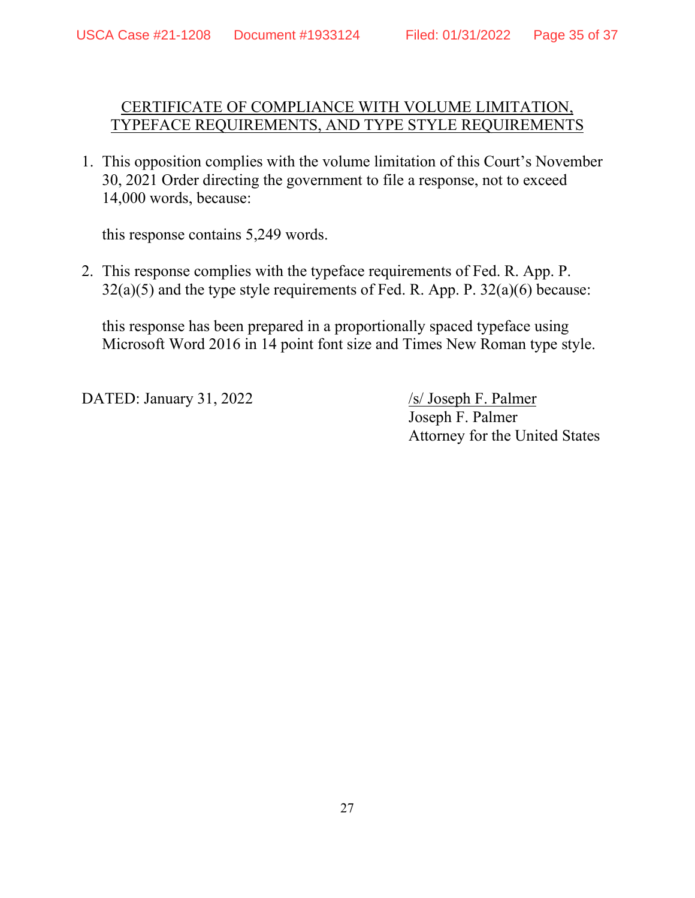## CERTIFICATE OF COMPLIANCE WITH VOLUME LIMITATION, TYPEFACE REQUIREMENTS, AND TYPE STYLE REQUIREMENTS

1. This opposition complies with the volume limitation of this Court's November 30, 2021 Order directing the government to file a response, not to exceed 14,000 words, because:

this response contains 5,249 words.

2. This response complies with the typeface requirements of Fed. R. App. P.  $32(a)(5)$  and the type style requirements of Fed. R. App. P.  $32(a)(6)$  because:

this response has been prepared in a proportionally spaced typeface using Microsoft Word 2016 in 14 point font size and Times New Roman type style.

DATED: January 31, 2022 /s/ Joseph F. Palmer

Joseph F. Palmer Attorney for the United States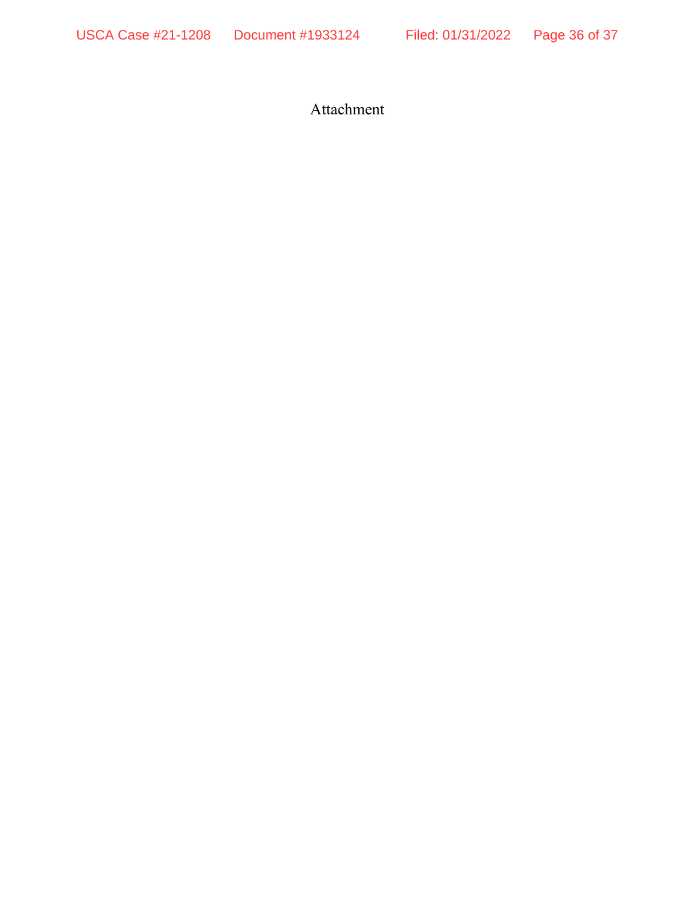USCA Case #21-1208 Document #1933124 Filed: 01/31/2022 Page 36 of 37

Attachment